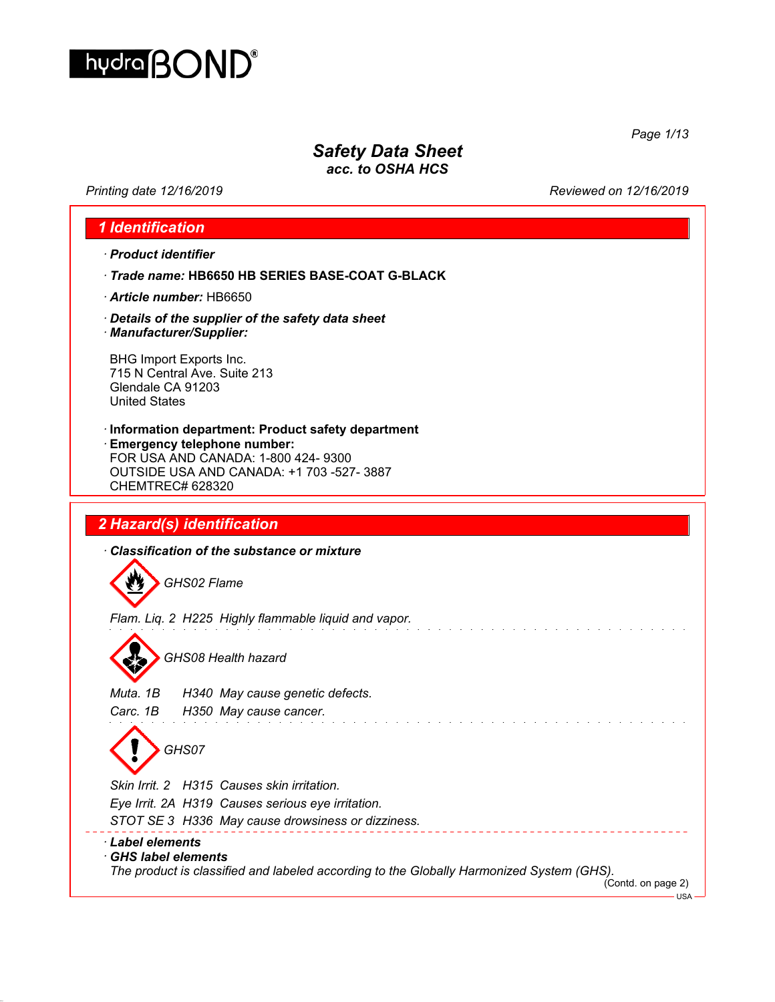

*Safety Data Sheet*

*acc. to OSHA HCS*

*Printing date 12/16/2019 Reviewed on 12/16/2019*

*Page 1/13*

## *1 Identification · Product identifier · Trade name:* **HB6650 HB SERIES BASE-COAT G-BLACK**  *· Article number:* HB6650 *· Details of the supplier of the safety data sheet · Manufacturer/Supplier:* BHG Import Exports Inc. 715 N Central Ave. Suite 213 Glendale CA 91203 United States *·* **Information department: Product safety department** *·* **Emergency telephone number:** FOR USA AND CANADA: 1-800 424- 9300 OUTSIDE USA AND CANADA: +1 703 -527- 3887 CHEMTREC# 628320 *2 Hazard(s) identification · Classification of the substance or mixture* 粉 *GHS02 Flame Flam. Liq. 2 H225 Highly flammable liquid and vapor. GHS08 Health hazard Muta. 1B H340 May cause genetic defects. Carc. 1B H350 May cause cancer.* and a strain and *GHS07 Skin Irrit. 2 H315 Causes skin irritation. Eye Irrit. 2A H319 Causes serious eye irritation. STOT SE 3 H336 May cause drowsiness or dizziness.* \_\_\_\_\_\_\_\_\_\_\_\_\_\_\_\_\_\_\_\_\_ *· Label elements · GHS label elements The product is classified and labeled according to the Globally Harmonized System (GHS).* (Contd. on page 2)

USA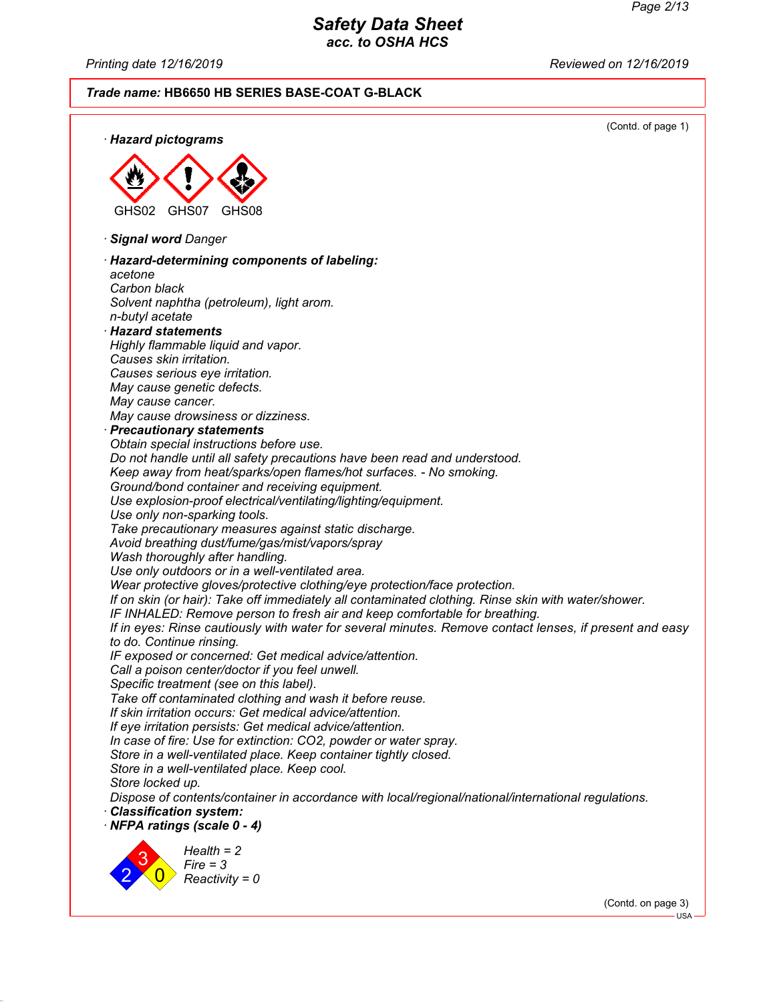*Printing date 12/16/2019 Reviewed on 12/16/2019*

# *Trade name:* **HB6650 HB SERIES BASE-COAT G-BLACK**



(Contd. on page 3)

USA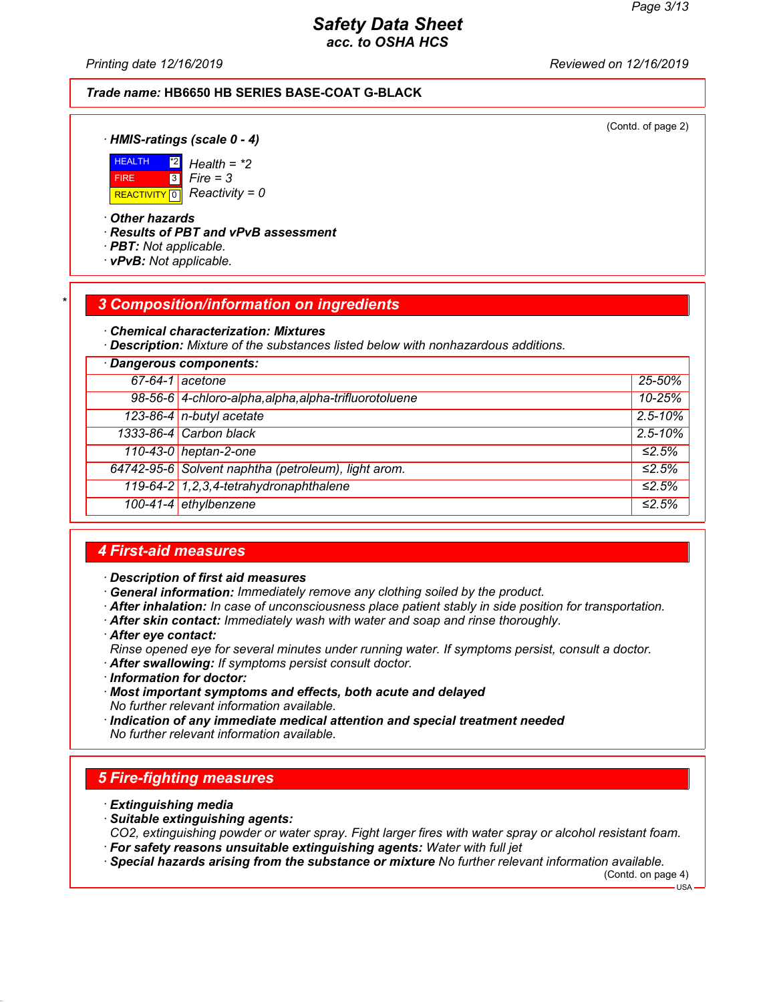*Printing date 12/16/2019 Reviewed on 12/16/2019*

#### *Trade name:* **HB6650 HB SERIES BASE-COAT G-BLACK**

(Contd. of page 2)

*· HMIS-ratings (scale 0 - 4)*



\*2 *Health = \*2* 3 *Fire = 3*

*· Other hazards*

*· Results of PBT and vPvB assessment*

- *· PBT: Not applicable.*
- *· vPvB: Not applicable.*

#### *\* 3 Composition/information on ingredients*

*· Chemical characterization: Mixtures*

*· Description: Mixture of the substances listed below with nonhazardous additions.*

| · Dangerous components: |                                                       |                         |
|-------------------------|-------------------------------------------------------|-------------------------|
|                         | $67-64-1$ acetone                                     | 25-50%                  |
|                         | 98-56-6 4-chloro-alpha, alpha, alpha-trifluorotoluene | 10-25%                  |
|                         | 123-86-4 n-butyl acetate                              | $2.5 - 10\%$            |
|                         | 1333-86-4 Carbon black                                | $2.5 - 10\%$            |
|                         | 110-43-0 heptan-2-one                                 | $\overline{\leq 2.5\%}$ |
|                         | 64742-95-6 Solvent naphtha (petroleum), light arom.   | ≤2.5%                   |
|                         | 119-64-2 1, 2, 3, 4-tetrahydronaphthalene             | ≤2.5%                   |
|                         | 100-41-4 ethylbenzene                                 | ≤2.5%                   |

#### *4 First-aid measures*

*· Description of first aid measures*

- *· General information: Immediately remove any clothing soiled by the product.*
- *· After inhalation: In case of unconsciousness place patient stably in side position for transportation.*
- *· After skin contact: Immediately wash with water and soap and rinse thoroughly.*
- *· After eye contact:*

*Rinse opened eye for several minutes under running water. If symptoms persist, consult a doctor. · After swallowing: If symptoms persist consult doctor.*

- *· Information for doctor:*
- *· Most important symptoms and effects, both acute and delayed No further relevant information available.*
- *· Indication of any immediate medical attention and special treatment needed No further relevant information available.*

## *5 Fire-fighting measures*

- *· Extinguishing media*
- *· Suitable extinguishing agents:*
- *CO2, extinguishing powder or water spray. Fight larger fires with water spray or alcohol resistant foam. · For safety reasons unsuitable extinguishing agents: Water with full jet*
- *· Special hazards arising from the substance or mixture No further relevant information available.*

(Contd. on page 4)

 $-HSA -$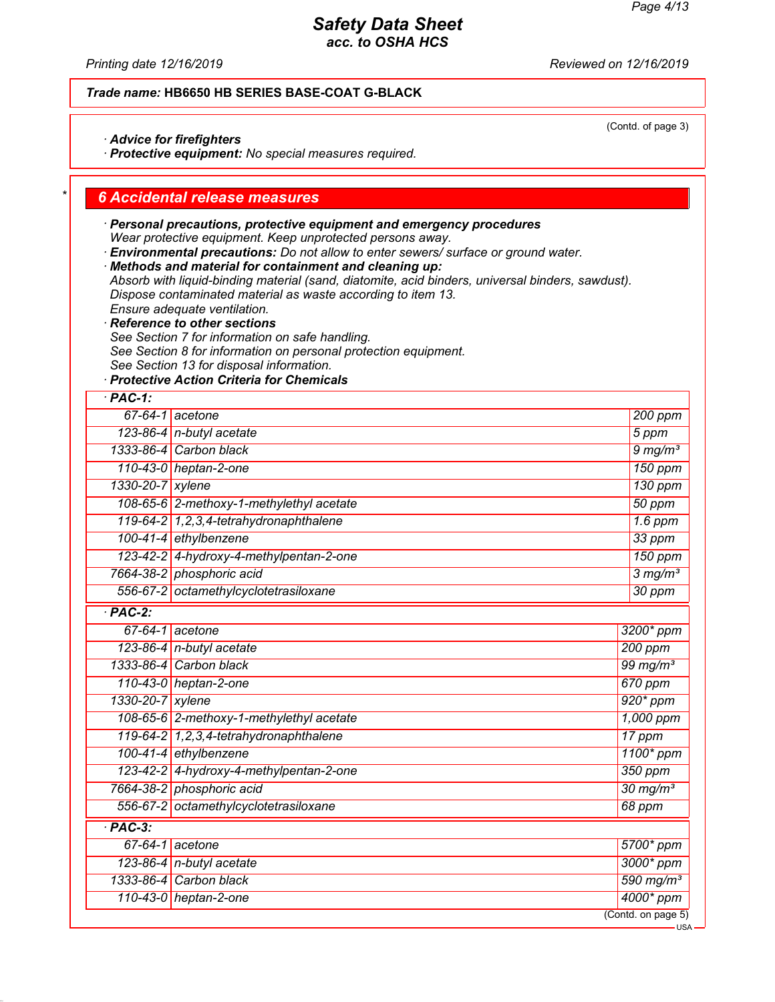(Contd. of page 3)

## *Safety Data Sheet acc. to OSHA HCS*

*Printing date 12/16/2019 Reviewed on 12/16/2019*

#### *Trade name:* **HB6650 HB SERIES BASE-COAT G-BLACK**

*· Advice for firefighters*

*· Protective equipment: No special measures required.*

#### *\* 6 Accidental release measures*

- *· Personal precautions, protective equipment and emergency procedures Wear protective equipment. Keep unprotected persons away.*
- *· Environmental precautions: Do not allow to enter sewers/ surface or ground water.*
- *· Methods and material for containment and cleaning up:*
- *Absorb with liquid-binding material (sand, diatomite, acid binders, universal binders, sawdust). Dispose contaminated material as waste according to item 13.*
- *Ensure adequate ventilation.*
- *· Reference to other sections*
- *See Section 7 for information on safe handling.*
- *See Section 8 for information on personal protection equipment.*
- *See Section 13 for disposal information.*
- *· Protective Action Criteria for Chemicals*

| $·$ PAC-1:           |                                           |  |                         |
|----------------------|-------------------------------------------|--|-------------------------|
|                      | $67-64-1$ acetone                         |  | $200$ ppm               |
|                      | 123-86-4 $n$ -butyl acetate               |  | 5 ppm                   |
|                      | 1333-86-4 Carbon black                    |  | $9$ mg/m <sup>3</sup>   |
|                      | 110-43-0 heptan-2-one                     |  | 150 ppm                 |
| 1330-20-7            | xylene                                    |  | 130 ppm                 |
|                      | 108-65-6 2-methoxy-1-methylethyl acetate  |  | 50 ppm                  |
|                      | 119-64-2 1, 2, 3, 4-tetrahydronaphthalene |  | $1.6$ ppm               |
|                      | 100-41-4 ethylbenzene                     |  | 33 ppm                  |
|                      | 123-42-2 4-hydroxy-4-methylpentan-2-one   |  | $150$ ppm               |
|                      | 7664-38-2 phosphoric acid                 |  | $3$ mg/m <sup>3</sup>   |
|                      | 556-67-2 octamethylcyclotetrasiloxane     |  | 30 ppm                  |
| $\overline{PAC-2}$   |                                           |  |                         |
| $67 - 64 - 1$        | acetone                                   |  | 3200* ppm               |
|                      | 123-86-4 n-butyl acetate                  |  | 200 ppm                 |
|                      | 1333-86-4 Carbon black                    |  | $99$ mg/m <sup>3</sup>  |
|                      | 110-43-0 heptan-2-one                     |  | 670 ppm                 |
| 1330-20-7 xylene     |                                           |  | $920*ppm$               |
|                      | 108-65-6 2-methoxy-1-methylethyl acetate  |  | 1,000 ppm               |
|                      | 119-64-2 1,2,3,4-tetrahydronaphthalene    |  | 17 ppm                  |
|                      | 100-41-4 ethylbenzene                     |  | 1100* ppm               |
|                      | 123-42-2 4-hydroxy-4-methylpentan-2-one   |  | 350 ppm                 |
|                      | 7664-38-2 phosphoric acid                 |  | $30$ mg/m <sup>3</sup>  |
|                      | 556-67-2 octamethylcyclotetrasiloxane     |  | 68 ppm                  |
| $\overline{PAC-3}$ : |                                           |  |                         |
| $67 - 64 - 1$        | acetone                                   |  | 5700* ppm               |
|                      | 123-86-4 n-butyl acetate                  |  | 3000* ppm               |
| 1333-86-4            | Carbon black                              |  | $590$ mg/m <sup>3</sup> |
|                      | 110-43-0 heptan-2-one                     |  | 4000* ppm               |
|                      |                                           |  | (Contd. on page 5)      |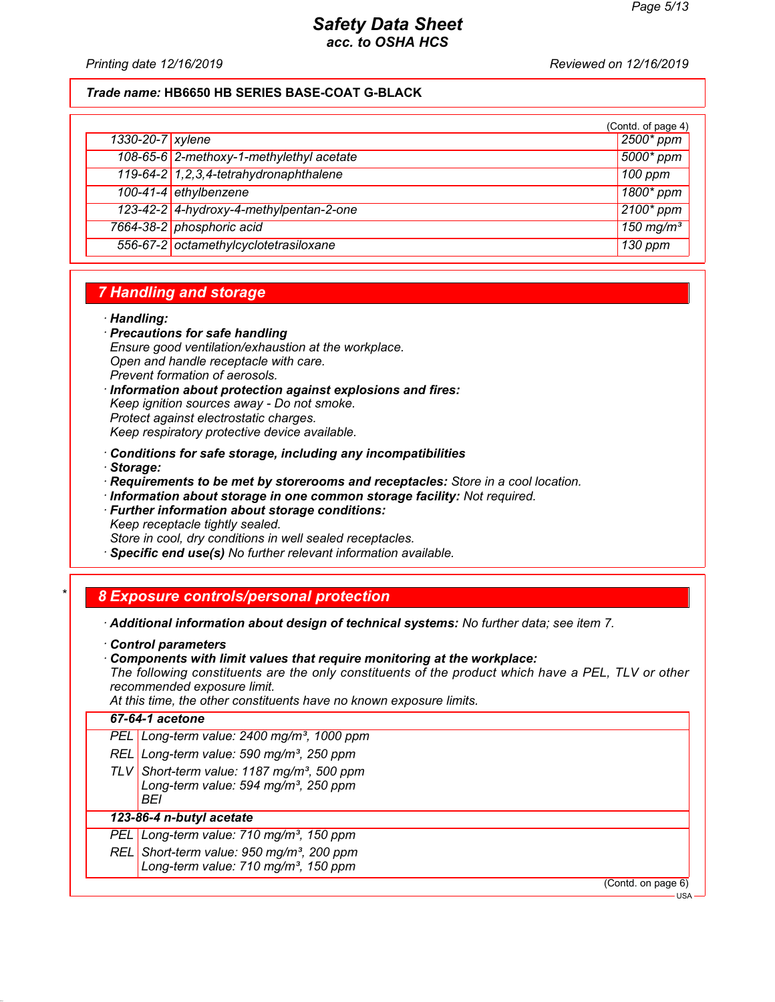*Printing date 12/16/2019 Reviewed on 12/16/2019*

#### *Trade name:* **HB6650 HB SERIES BASE-COAT G-BLACK**

|                  |                                           | (Contd. of page 4)      |
|------------------|-------------------------------------------|-------------------------|
| 1330-20-7 xylene |                                           | $\sqrt{2500^*}$ ppm     |
|                  | 108-65-6 2-methoxy-1-methylethyl acetate  | 5000* ppm               |
|                  | 119-64-2 1, 2, 3, 4-tetrahydronaphthalene | 100 ppm                 |
|                  | 100-41-4 ethylbenzene                     | 1800* ppm               |
|                  | 123-42-2 4-hydroxy-4-methylpentan-2-one   | $2100*$ ppm             |
|                  | 7664-38-2 phosphoric acid                 | $150$ mg/m <sup>3</sup> |
|                  | 556-67-2 octamethylcyclotetrasiloxane     | 130 ppm                 |

#### *7 Handling and storage*

#### *· Handling:*

*· Precautions for safe handling Ensure good ventilation/exhaustion at the workplace. Open and handle receptacle with care. Prevent formation of aerosols.*

*· Information about protection against explosions and fires: Keep ignition sources away - Do not smoke. Protect against electrostatic charges. Keep respiratory protective device available.*

*· Conditions for safe storage, including any incompatibilities*

*· Storage:*

*· Requirements to be met by storerooms and receptacles: Store in a cool location.*

*· Information about storage in one common storage facility: Not required.*

*· Further information about storage conditions: Keep receptacle tightly sealed. Store in cool, dry conditions in well sealed receptacles.*

*· Specific end use(s) No further relevant information available.*

## *\* 8 Exposure controls/personal protection*

*· Additional information about design of technical systems: No further data; see item 7.*

- *· Control parameters*
- *· Components with limit values that require monitoring at the workplace:*

*The following constituents are the only constituents of the product which have a PEL, TLV or other recommended exposure limit.*

*At this time, the other constituents have no known exposure limits.*

#### *67-64-1 acetone*

| PEL Long-term value: $2400$ mg/m <sup>3</sup> , 1000 ppm |  |
|----------------------------------------------------------|--|
|                                                          |  |

*REL Long-term value: 590 mg/m³, 250 ppm*

*TLV Short-term value: 1187 mg/m³, 500 ppm Long-term value: 594 mg/m³, 250 ppm BEI*

#### *123-86-4 n-butyl acetate*

*PEL Long-term value: 710 mg/m³, 150 ppm*

*REL Short-term value: 950 mg/m³, 200 ppm*

*Long-term value: 710 mg/m³, 150 ppm*

(Contd. on page 6)

USA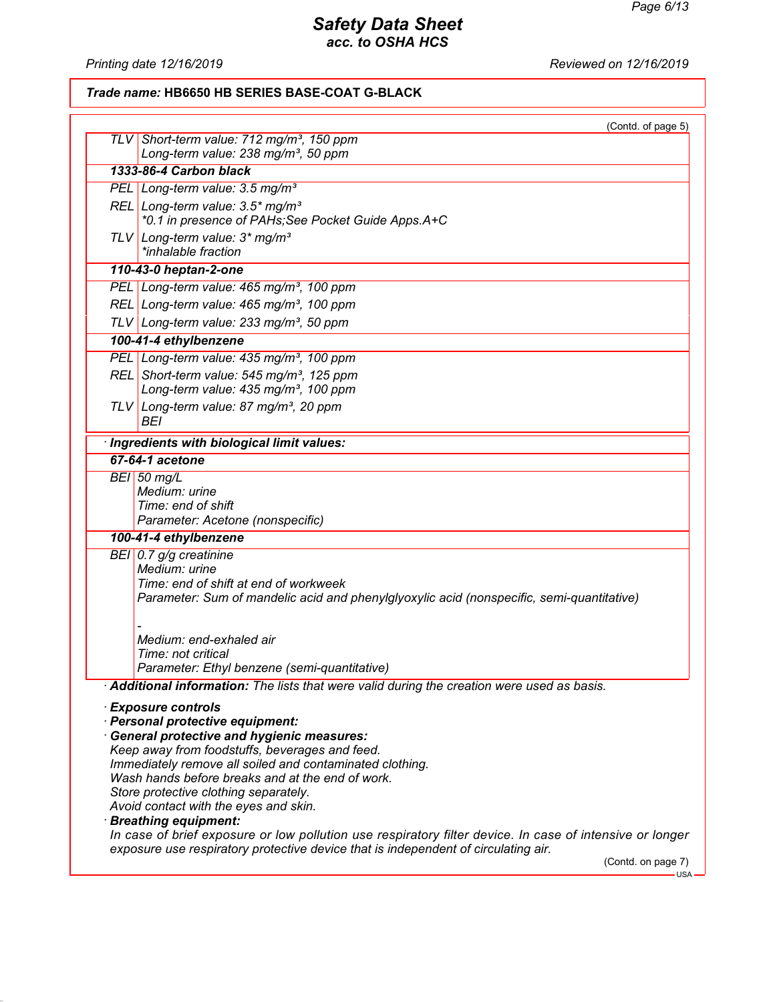*Printing date 12/16/2019 Reviewed on 12/16/2019*

*Trade name:* **HB6650 HB SERIES BASE-COAT G-BLACK**

|            | (Contd. of page 5)                                                                                       |
|------------|----------------------------------------------------------------------------------------------------------|
| <b>TLV</b> | Short-term value: 712 mg/m <sup>3</sup> , 150 ppm<br>Long-term value: 238 mg/m <sup>3</sup> , 50 ppm     |
|            | 1333-86-4 Carbon black                                                                                   |
|            | PEL Long-term value: 3.5 mg/m <sup>3</sup>                                                               |
|            | REL Long-term value: 3.5* mg/m <sup>3</sup>                                                              |
|            | *0.1 in presence of PAHs; See Pocket Guide Apps.A+C                                                      |
|            | TLV Long-term value: $3*$ mg/m <sup>3</sup>                                                              |
|            | *inhalable fraction                                                                                      |
|            | 110-43-0 heptan-2-one                                                                                    |
|            | PEL Long-term value: 465 mg/m <sup>3</sup> , 100 ppm                                                     |
|            | REL Long-term value: 465 mg/m <sup>3</sup> , 100 ppm                                                     |
|            | TLV Long-term value: 233 mg/m <sup>3</sup> , 50 ppm                                                      |
|            | 100-41-4 ethylbenzene                                                                                    |
|            | PEL Long-term value: 435 mg/m <sup>3</sup> , 100 ppm                                                     |
|            | REL Short-term value: 545 mg/m <sup>3</sup> , 125 ppm                                                    |
|            | Long-term value: 435 mg/m <sup>3</sup> , 100 ppm                                                         |
|            | TLV Long-term value: 87 mg/m <sup>3</sup> , 20 ppm                                                       |
|            | BEI                                                                                                      |
|            | · Ingredients with biological limit values:                                                              |
|            | 67-64-1 acetone                                                                                          |
|            | <b>BEI</b> 50 mg/L                                                                                       |
|            | Medium: urine                                                                                            |
|            | Time: end of shift<br>Parameter: Acetone (nonspecific)                                                   |
|            | 100-41-4 ethylbenzene                                                                                    |
|            | BEI 0.7 g/g creatinine                                                                                   |
|            | Medium: urine                                                                                            |
|            | Time: end of shift at end of workweek                                                                    |
|            | Parameter: Sum of mandelic acid and phenylglyoxylic acid (nonspecific, semi-quantitative)                |
|            |                                                                                                          |
|            | Medium: end-exhaled air                                                                                  |
|            | Time: not critical                                                                                       |
|            | Parameter: Ethyl benzene (semi-quantitative)                                                             |
|            | Additional information: The lists that were valid during the creation were used as basis.                |
|            | <b>Exposure controls</b>                                                                                 |
|            | · Personal protective equipment:                                                                         |
|            | · General protective and hygienic measures:                                                              |
|            | Keep away from foodstuffs, beverages and feed.                                                           |
|            | Immediately remove all soiled and contaminated clothing.                                                 |
|            | Wash hands before breaks and at the end of work.                                                         |
|            | Store protective clothing separately.                                                                    |
|            | Avoid contact with the eyes and skin.<br>· Breathing equipment:                                          |
|            | In case of brief exposure or low pollution use respiratory filter device. In case of intensive or longer |
|            | exposure use respiratory protective device that is independent of circulating air.<br>(Contd. on page 7) |
|            | $USA -$                                                                                                  |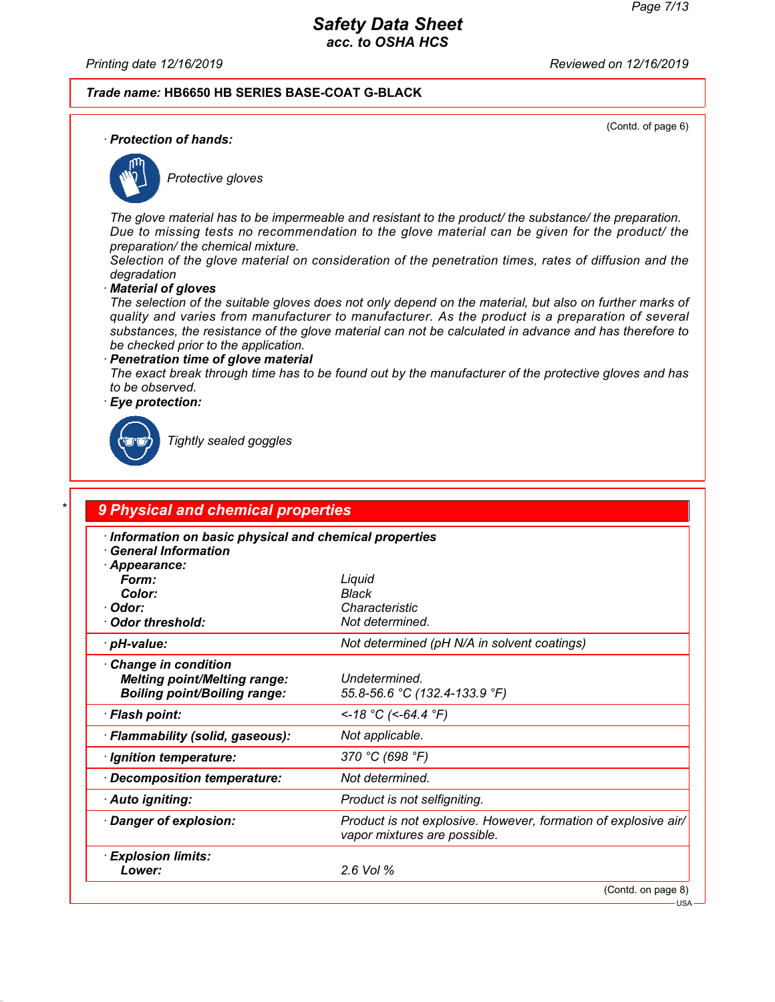*Printing date 12/16/2019 Reviewed on 12/16/2019*

#### *Trade name:* **HB6650 HB SERIES BASE-COAT G-BLACK**

(Contd. of page 6)

*· Protection of hands:*



*Protective gloves*

*The glove material has to be impermeable and resistant to the product/ the substance/ the preparation. Due to missing tests no recommendation to the glove material can be given for the product/ the preparation/ the chemical mixture.*

*Selection of the glove material on consideration of the penetration times, rates of diffusion and the degradation*

*· Material of gloves*

*The selection of the suitable gloves does not only depend on the material, but also on further marks of quality and varies from manufacturer to manufacturer. As the product is a preparation of several substances, the resistance of the glove material can not be calculated in advance and has therefore to be checked prior to the application.*

*· Penetration time of glove material The exact break through time has to be found out by the manufacturer of the protective gloves and has to be observed.*

*· Eye protection:*



*Tightly sealed goggles*

# *\* 9 Physical and chemical properties*

| Information on basic physical and chemical properties<br>$\cdot$ General Information                     |                                                                                                |  |
|----------------------------------------------------------------------------------------------------------|------------------------------------------------------------------------------------------------|--|
| · Appearance:<br>Form:                                                                                   | Liquid                                                                                         |  |
| Color:                                                                                                   | <b>Black</b>                                                                                   |  |
| · Odor:                                                                                                  | Characteristic                                                                                 |  |
| Odor threshold:                                                                                          | Not determined.                                                                                |  |
| · pH-value:                                                                                              | Not determined (pH N/A in solvent coatings)                                                    |  |
| <b>Change in condition</b><br><b>Melting point/Melting range:</b><br><b>Boiling point/Boiling range:</b> | Undetermined.<br>55.8-56.6 °C (132.4-133.9 °F)                                                 |  |
| · Flash point:                                                                                           | <-18 °C (<-64.4 °F)                                                                            |  |
| · Flammability (solid, gaseous):                                                                         | Not applicable.                                                                                |  |
| · Ignition temperature:                                                                                  | 370 °C (698 °F)                                                                                |  |
| Decomposition temperature:                                                                               | Not determined.                                                                                |  |
| · Auto igniting:                                                                                         | Product is not selfigniting.                                                                   |  |
| · Danger of explosion:                                                                                   | Product is not explosive. However, formation of explosive air/<br>vapor mixtures are possible. |  |
| · Explosion limits:                                                                                      |                                                                                                |  |
| Lower:                                                                                                   | 2.6 Vol %                                                                                      |  |
|                                                                                                          | (Contd. on page 8)                                                                             |  |

USA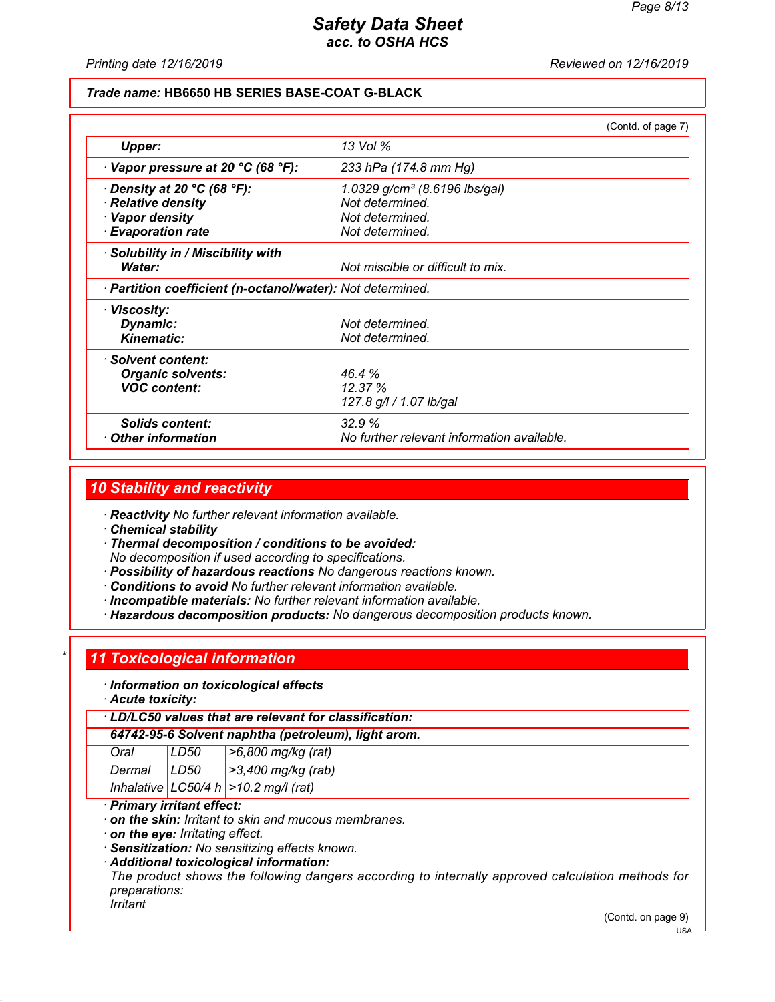*Printing date 12/16/2019 Reviewed on 12/16/2019*

#### *Trade name:* **HB6650 HB SERIES BASE-COAT G-BLACK**

|                                                            |                                            | (Contd. of page 7) |
|------------------------------------------------------------|--------------------------------------------|--------------------|
| Upper:                                                     | 13 Vol %                                   |                    |
| $\cdot$ Vapor pressure at 20 °C (68 °F):                   | 233 hPa (174.8 mm Hg)                      |                    |
| $\cdot$ Density at 20 °C (68 °F):                          | 1.0329 g/cm <sup>3</sup> (8.6196 lbs/gal)  |                    |
| · Relative density                                         | Not determined.                            |                    |
| · Vapor density                                            | Not determined.                            |                    |
| <b>Evaporation rate</b>                                    | Not determined.                            |                    |
| · Solubility in / Miscibility with                         |                                            |                    |
| Water:                                                     | Not miscible or difficult to mix.          |                    |
| · Partition coefficient (n-octanol/water): Not determined. |                                            |                    |
| · Viscosity:                                               |                                            |                    |
| Dynamic:                                                   | Not determined.                            |                    |
| <b>Kinematic:</b>                                          | Not determined.                            |                    |
| · Solvent content:                                         |                                            |                    |
| <b>Organic solvents:</b>                                   | 46.4%                                      |                    |
| <b>VOC content:</b>                                        | 12.37%                                     |                    |
|                                                            | 127.8 g/l / 1.07 lb/gal                    |                    |
| Solids content:                                            | 32.9%                                      |                    |
| $\cdot$ Other information                                  | No further relevant information available. |                    |

#### *10 Stability and reactivity*

*· Reactivity No further relevant information available.*

*· Chemical stability*

*· Thermal decomposition / conditions to be avoided: No decomposition if used according to specifications.*

- *· Possibility of hazardous reactions No dangerous reactions known.*
- *· Conditions to avoid No further relevant information available.*
- *· Incompatible materials: No further relevant information available.*
- *· Hazardous decomposition products: No dangerous decomposition products known.*

#### *\* 11 Toxicological information*

*· Information on toxicological effects*

*· Acute toxicity:*

*· LD/LC50 values that are relevant for classification:*

*64742-95-6 Solvent naphtha (petroleum), light arom.*

*Oral LD50 >6,800 mg/kg (rat) Dermal LD50 >3,400 mg/kg (rab)*

*Inhalative LC50/4 h >10.2 mg/l (rat)*

#### *· Primary irritant effect:*

- *· on the skin: Irritant to skin and mucous membranes.*
- *· on the eye: Irritating effect.*
- *· Sensitization: No sensitizing effects known.*
- *· Additional toxicological information:*

*The product shows the following dangers according to internally approved calculation methods for preparations:*

*Irritant*

(Contd. on page 9)

 $-1$ ISA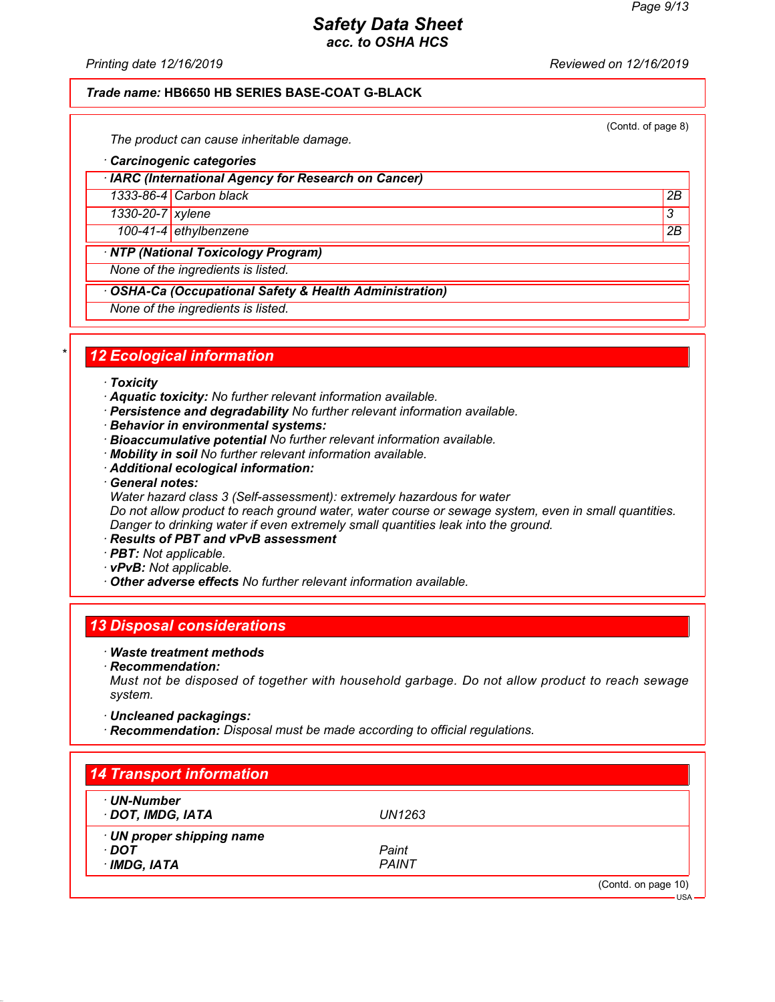*Printing date 12/16/2019 Reviewed on 12/16/2019*

#### *Trade name:* **HB6650 HB SERIES BASE-COAT G-BLACK**

(Contd. of page 8)

*The product can cause inheritable damage.*

- *· Carcinogenic categories*
- *· IARC (International Agency for Research on Cancer)*

*1333-86-4 Carbon black 2B*

*1330-20-7 xylene 3* 

*100-41-4 ethylbenzene 2B*

*· NTP (National Toxicology Program)*

*None of the ingredients is listed.*

*· OSHA-Ca (Occupational Safety & Health Administration)*

*None of the ingredients is listed.*

## *\* 12 Ecological information*

- *· Toxicity*
- *· Aquatic toxicity: No further relevant information available.*
- *· Persistence and degradability No further relevant information available.*
- *· Behavior in environmental systems:*
- *· Bioaccumulative potential No further relevant information available.*
- *· Mobility in soil No further relevant information available.*
- *· Additional ecological information:*
- *· General notes:*
- *Water hazard class 3 (Self-assessment): extremely hazardous for water Do not allow product to reach ground water, water course or sewage system, even in small quantities.*

*Danger to drinking water if even extremely small quantities leak into the ground.*

- *· Results of PBT and vPvB assessment*
- *· PBT: Not applicable.*
- *· vPvB: Not applicable.*
- *· Other adverse effects No further relevant information available.*

## *13 Disposal considerations*

- *· Waste treatment methods*
- *· Recommendation:*

*Must not be disposed of together with household garbage. Do not allow product to reach sewage system.*

*· Uncleaned packagings:*

*· Recommendation: Disposal must be made according to official regulations.*

| · UN-Number               |              |  |
|---------------------------|--------------|--|
| DOT, IMDG, IATA           | UN1263       |  |
| · UN proper shipping name |              |  |
| ∙ DOT                     | Paint        |  |
| $\cdot$ IMDG, IATA        | <b>PAINT</b> |  |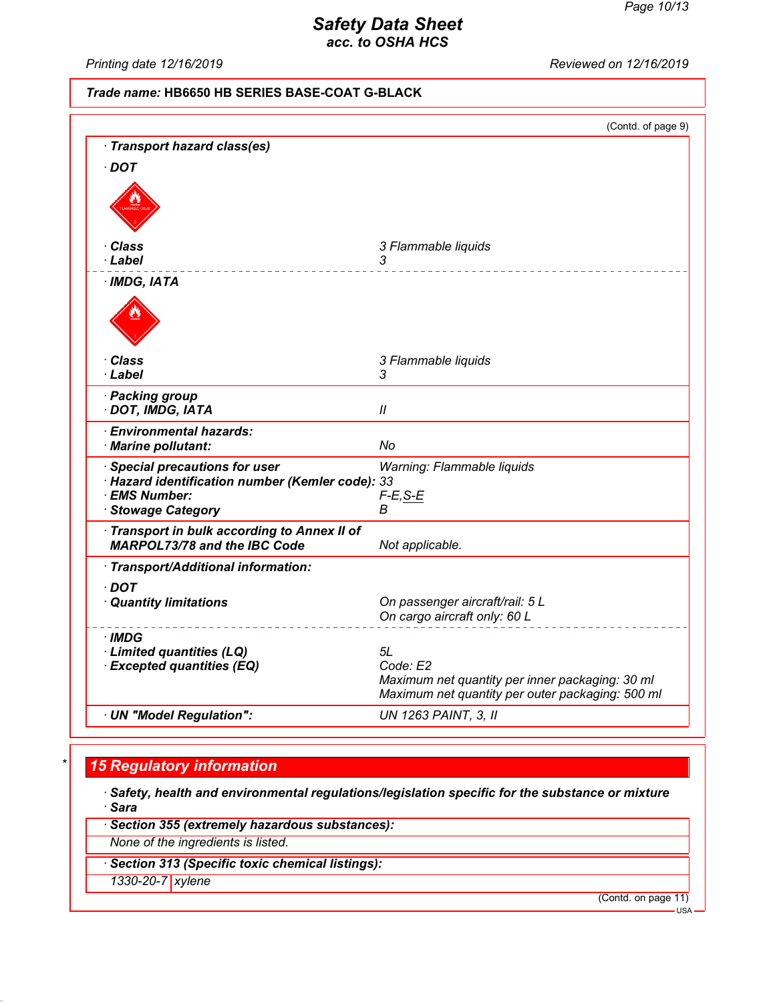*Printing date 12/16/2019 Reviewed on 12/16/2019*

#### *Trade name:* **HB6650 HB SERIES BASE-COAT G-BLACK**

|                                                         | (Contd. of page 9)                               |
|---------------------------------------------------------|--------------------------------------------------|
| · Transport hazard class(es)                            |                                                  |
| $\cdot$ DOT                                             |                                                  |
|                                                         |                                                  |
|                                                         |                                                  |
|                                                         |                                                  |
| Class                                                   | 3 Flammable liquids                              |
| · Label                                                 | 3                                                |
| $·$ IMDG, IATA                                          |                                                  |
|                                                         |                                                  |
|                                                         |                                                  |
|                                                         |                                                  |
| · Class                                                 |                                                  |
| · Label                                                 | 3 Flammable liquids<br>3                         |
| · Packing group                                         |                                                  |
| · DOT, IMDG, IATA                                       | $\mathcal{U}$                                    |
| <b>Environmental hazards:</b>                           |                                                  |
| · Marine pollutant:                                     | No                                               |
| · Special precautions for user                          | Warning: Flammable liquids                       |
| · Hazard identification number (Kemler code): 33        |                                                  |
| · EMS Number:                                           | $F-E$ , S-E                                      |
| · Stowage Category                                      | В                                                |
| Transport in bulk according to Annex II of              |                                                  |
| <b>MARPOL73/78 and the IBC Code</b>                     | Not applicable.                                  |
| · Transport/Additional information:                     |                                                  |
| $\cdot$ DOT                                             |                                                  |
| · Quantity limitations                                  | On passenger aircraft/rail: 5 L                  |
|                                                         | On cargo aircraft only: 60 L                     |
| ∙IMDG                                                   |                                                  |
| · Limited quantities (LQ)<br>· Excepted quantities (EQ) | 5L<br>Code: E2                                   |
|                                                         | Maximum net quantity per inner packaging: 30 ml  |
|                                                         | Maximum net quantity per outer packaging: 500 ml |
| · UN "Model Regulation":                                | <b>UN 1263 PAINT, 3, II</b>                      |

## *\* 15 Regulatory information*

*· Safety, health and environmental regulations/legislation specific for the substance or mixture · Sara*

*· Section 355 (extremely hazardous substances):*

*None of the ingredients is listed.*

*· Section 313 (Specific toxic chemical listings):*

*1330-20-7 xylene*

(Contd. on page 11)

USA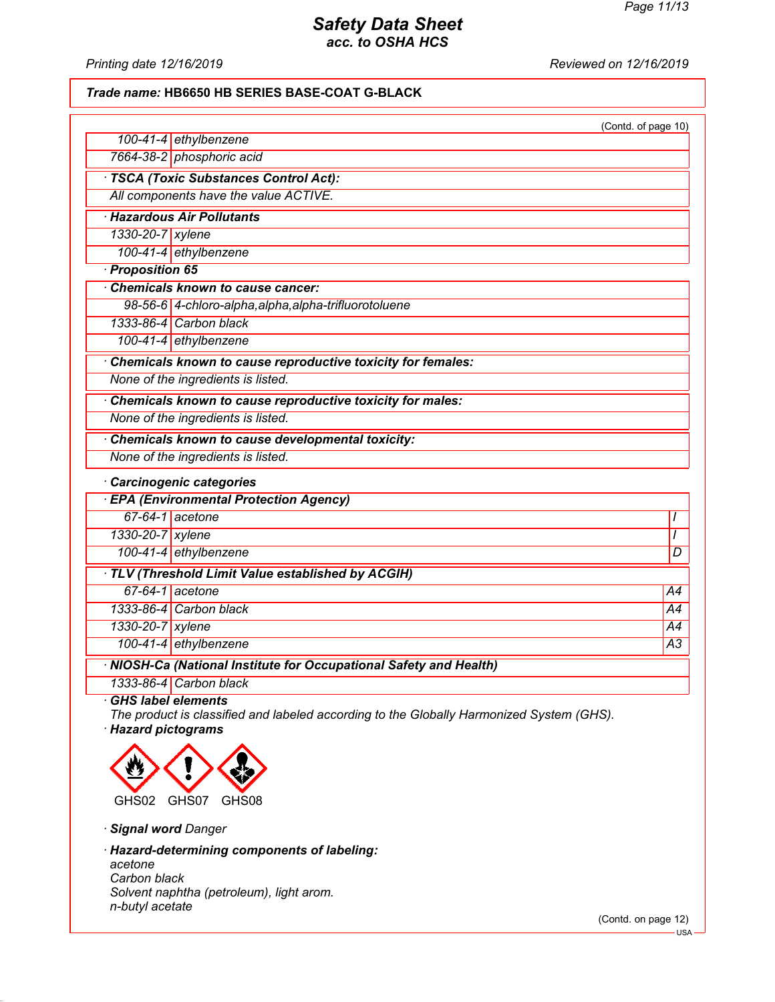*Printing date 12/16/2019 Reviewed on 12/16/2019*

#### *Trade name:* **HB6650 HB SERIES BASE-COAT G-BLACK**

|                                        |                                                                    | (Contd. of page 10) |  |
|----------------------------------------|--------------------------------------------------------------------|---------------------|--|
|                                        | 100-41-4 ethylbenzene                                              |                     |  |
|                                        | 7664-38-2 phosphoric acid                                          |                     |  |
| · TSCA (Toxic Substances Control Act): |                                                                    |                     |  |
|                                        | All components have the value ACTIVE.                              |                     |  |
|                                        | <b>Hazardous Air Pollutants</b>                                    |                     |  |
| 1330-20-7 xylene                       |                                                                    |                     |  |
|                                        | 100-41-4 ethylbenzene                                              |                     |  |
| Proposition 65                         |                                                                    |                     |  |
|                                        | Chemicals known to cause cancer:                                   |                     |  |
|                                        | 98-56-6 4-chloro-alpha, alpha, alpha-trifluorotoluene              |                     |  |
|                                        | 1333-86-4 Carbon black                                             |                     |  |
|                                        | 100-41-4 ethylbenzene                                              |                     |  |
|                                        | Chemicals known to cause reproductive toxicity for females:        |                     |  |
|                                        | None of the ingredients is listed.                                 |                     |  |
|                                        | Chemicals known to cause reproductive toxicity for males:          |                     |  |
|                                        | None of the ingredients is listed.                                 |                     |  |
|                                        | Chemicals known to cause developmental toxicity:                   |                     |  |
|                                        | None of the ingredients is listed.                                 |                     |  |
|                                        | Carcinogenic categories                                            |                     |  |
|                                        | <b>EPA (Environmental Protection Agency)</b>                       |                     |  |
|                                        | $67-64-1$ acetone                                                  | I                   |  |
| 1330-20-7 xylene                       |                                                                    | $\prime$            |  |
|                                        | 100-41-4 ethylbenzene                                              | D                   |  |
|                                        | · TLV (Threshold Limit Value established by ACGIH)                 |                     |  |
|                                        | 67-64-1 acetone                                                    | A4                  |  |
|                                        | 1333-86-4 Carbon black                                             | A4                  |  |
| 1330-20-7 xylene                       |                                                                    | A4                  |  |
|                                        | 100-41-4 ethylbenzene                                              | $\overline{A3}$     |  |
|                                        | · NIOSH-Ca (National Institute for Occupational Safety and Health) |                     |  |
|                                        | 1333-86-4 Carbon black                                             |                     |  |
| <b>GHS label elements</b>              |                                                                    |                     |  |

*The product is classified and labeled according to the Globally Harmonized System (GHS). · Hazard pictograms*



*· Signal word Danger*

*· Hazard-determining components of labeling:*

*acetone Carbon black Solvent naphtha (petroleum), light arom. n-butyl acetate*

(Contd. on page 12)

USA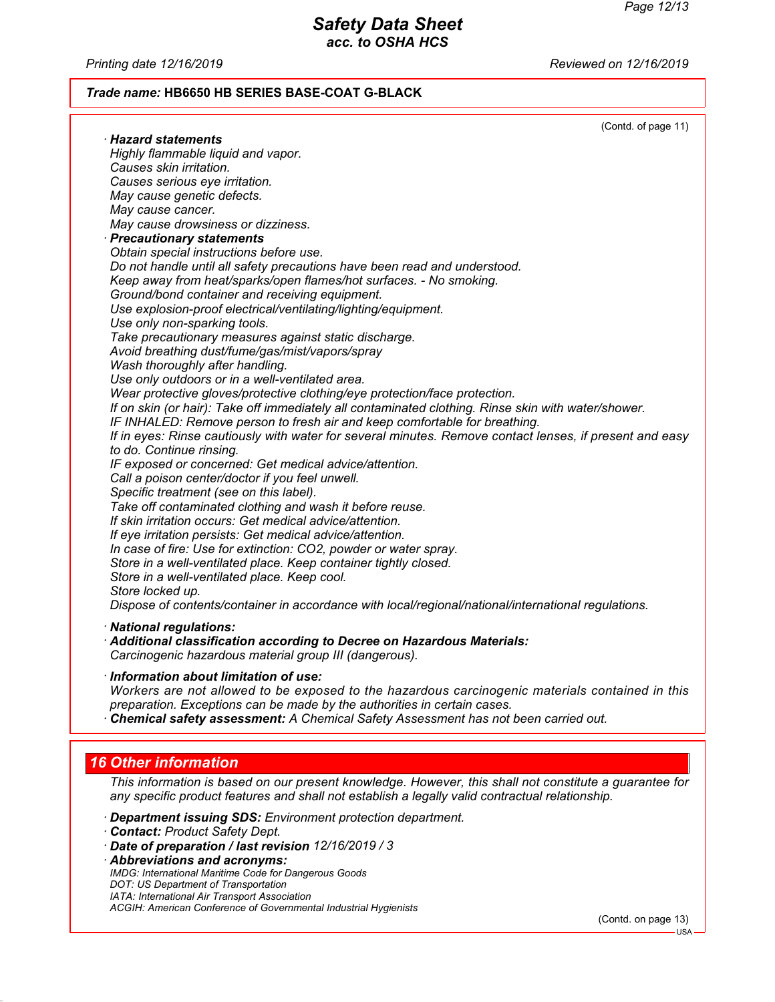*Printing date 12/16/2019 Reviewed on 12/16/2019*

#### *Trade name:* **HB6650 HB SERIES BASE-COAT G-BLACK**

|                                                                                                         | (Contd. of page 11) |
|---------------------------------------------------------------------------------------------------------|---------------------|
| $\cdot$ Hazard statements                                                                               |                     |
| Highly flammable liquid and vapor.                                                                      |                     |
| Causes skin irritation.                                                                                 |                     |
| Causes serious eye irritation.                                                                          |                     |
| May cause genetic defects.                                                                              |                     |
| May cause cancer.                                                                                       |                     |
| May cause drowsiness or dizziness.                                                                      |                     |
| · Precautionary statements                                                                              |                     |
| Obtain special instructions before use.                                                                 |                     |
| Do not handle until all safety precautions have been read and understood.                               |                     |
| Keep away from heat/sparks/open flames/hot surfaces. - No smoking.                                      |                     |
| Ground/bond container and receiving equipment.                                                          |                     |
| Use explosion-proof electrical/ventilating/lighting/equipment.                                          |                     |
| Use only non-sparking tools.                                                                            |                     |
| Take precautionary measures against static discharge.                                                   |                     |
| Avoid breathing dust/fume/gas/mist/vapors/spray                                                         |                     |
| Wash thoroughly after handling.                                                                         |                     |
| Use only outdoors or in a well-ventilated area.                                                         |                     |
| Wear protective gloves/protective clothing/eye protection/face protection.                              |                     |
| If on skin (or hair): Take off immediately all contaminated clothing. Rinse skin with water/shower.     |                     |
| IF INHALED: Remove person to fresh air and keep comfortable for breathing.                              |                     |
| If in eyes: Rinse cautiously with water for several minutes. Remove contact lenses, if present and easy |                     |
| to do. Continue rinsing.                                                                                |                     |
| IF exposed or concerned: Get medical advice/attention.                                                  |                     |
| Call a poison center/doctor if you feel unwell.                                                         |                     |
| Specific treatment (see on this label).                                                                 |                     |
| Take off contaminated clothing and wash it before reuse.                                                |                     |
| If skin irritation occurs: Get medical advice/attention.                                                |                     |
| If eye irritation persists: Get medical advice/attention.                                               |                     |
| In case of fire: Use for extinction: CO2, powder or water spray.                                        |                     |
| Store in a well-ventilated place. Keep container tightly closed.                                        |                     |
| Store in a well-ventilated place. Keep cool.                                                            |                     |
| Store locked up.                                                                                        |                     |
| Dispose of contents/container in accordance with local/regional/national/international regulations.     |                     |
|                                                                                                         |                     |
| · National regulations:                                                                                 |                     |
| Additional classification according to Decree on Hazardous Materials:                                   |                     |

*Carcinogenic hazardous material group III (dangerous).*

*· Information about limitation of use:*

*Workers are not allowed to be exposed to the hazardous carcinogenic materials contained in this preparation. Exceptions can be made by the authorities in certain cases.*

*· Chemical safety assessment: A Chemical Safety Assessment has not been carried out.*

## *16 Other information*

*This information is based on our present knowledge. However, this shall not constitute a guarantee for any specific product features and shall not establish a legally valid contractual relationship.*

- *· Department issuing SDS: Environment protection department.*
- *· Contact: Product Safety Dept.*
- *· Date of preparation / last revision 12/16/2019 / 3*

*· Abbreviations and acronyms: IMDG: International Maritime Code for Dangerous Goods DOT: US Department of Transportation IATA: International Air Transport Association ACGIH: American Conference of Governmental Industrial Hygienists*

(Contd. on page 13)

USA